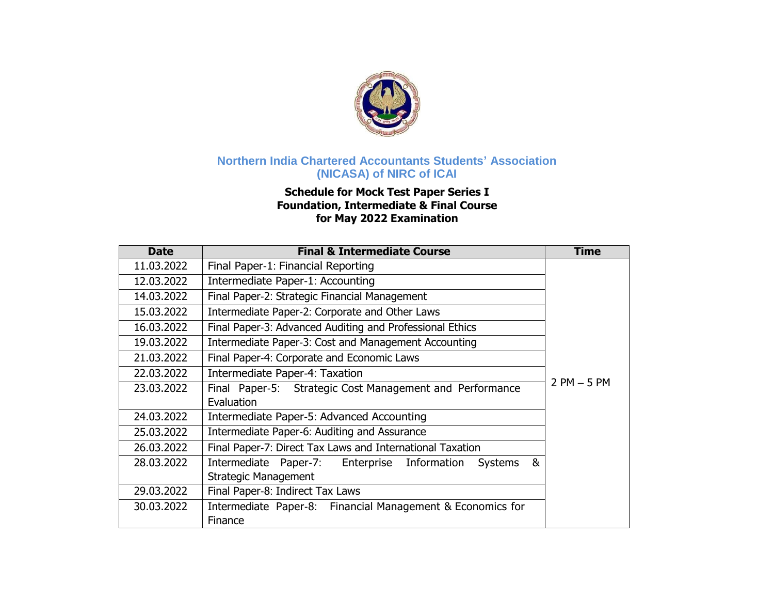

## **Northern India Chartered Accountants Students' Association (NICASA) of NIRC of ICAI**

## **Schedule for Mock Test Paper Series I Foundation, Intermediate & Final Course for May 2022 Examination**

| <b>Date</b> | <b>Final &amp; Intermediate Course</b>                                     | <b>Time</b> |  |  |
|-------------|----------------------------------------------------------------------------|-------------|--|--|
| 11.03.2022  | Final Paper-1: Financial Reporting                                         |             |  |  |
| 12.03.2022  | Intermediate Paper-1: Accounting                                           |             |  |  |
| 14.03.2022  | Final Paper-2: Strategic Financial Management                              |             |  |  |
| 15.03.2022  | Intermediate Paper-2: Corporate and Other Laws                             |             |  |  |
| 16.03.2022  | Final Paper-3: Advanced Auditing and Professional Ethics                   |             |  |  |
| 19.03.2022  | Intermediate Paper-3: Cost and Management Accounting                       |             |  |  |
| 21.03.2022  | Final Paper-4: Corporate and Economic Laws                                 |             |  |  |
| 22.03.2022  | Intermediate Paper-4: Taxation                                             |             |  |  |
| 23.03.2022  | $2$ PM $-5$ PM<br>Final Paper-5: Strategic Cost Management and Performance |             |  |  |
|             | Evaluation                                                                 |             |  |  |
| 24.03.2022  | Intermediate Paper-5: Advanced Accounting                                  |             |  |  |
| 25.03.2022  | Intermediate Paper-6: Auditing and Assurance                               |             |  |  |
| 26.03.2022  | Final Paper-7: Direct Tax Laws and International Taxation                  |             |  |  |
| 28.03.2022  | Intermediate Paper-7: Enterprise Information<br>&<br>Systems               |             |  |  |
|             | <b>Strategic Management</b>                                                |             |  |  |
| 29.03.2022  | Final Paper-8: Indirect Tax Laws                                           |             |  |  |
| 30.03.2022  | Intermediate Paper-8: Financial Management & Economics for                 |             |  |  |
|             | Finance                                                                    |             |  |  |